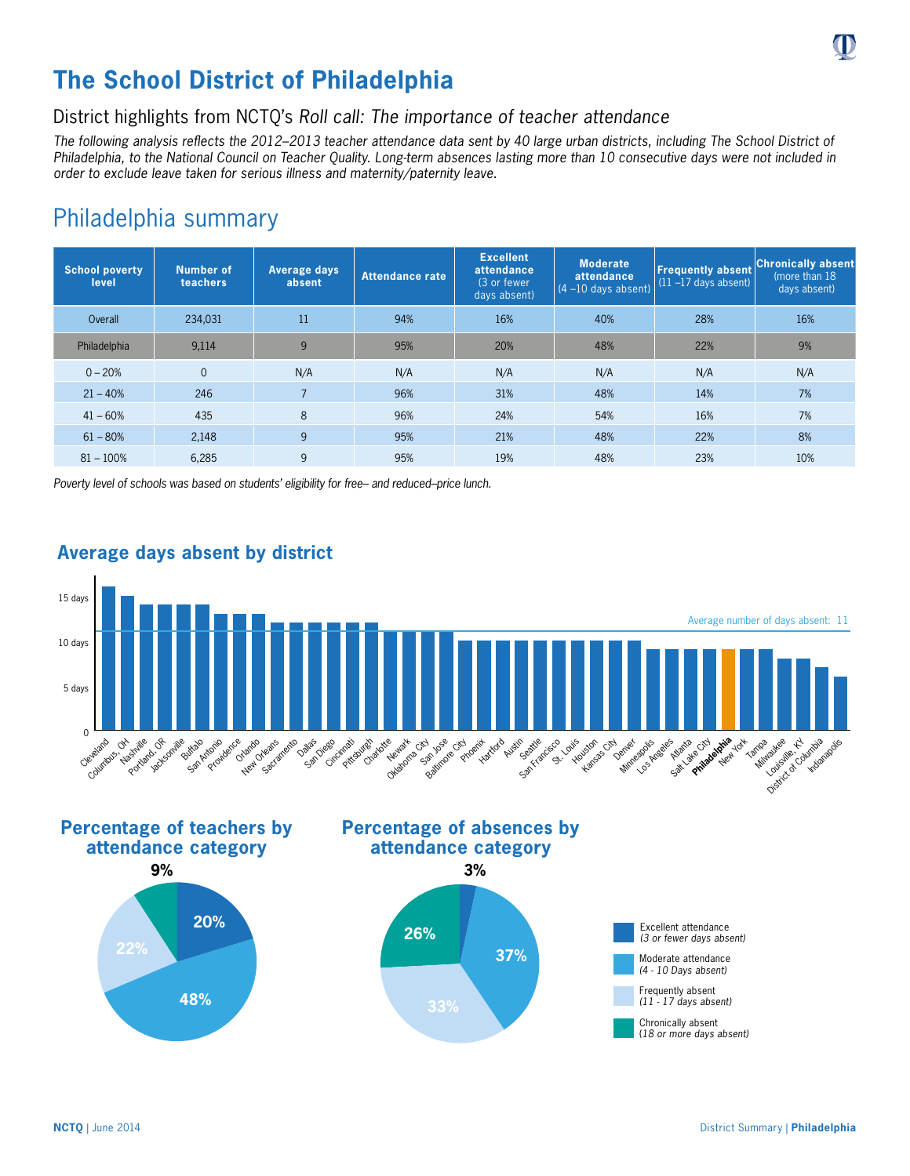

# **The School District of Philadelphia**

## District highlights from NCTQ's *Roll call: The importance of teacher attendance*

*The following analysis reflects the 2012–2013 teacher attendance data sent by 40 large urban districts, including The School District of Philadelphia, to the National Council on Teacher Quality. Long-term absences lasting more than 10 consecutive days were not included in order to exclude leave taken for serious illness and maternity/paternity leave.*

## Philadelphia summary

| <b>School poverty</b><br>level | Number of<br>teachers | Average days<br>absent | Attendance rate | <b>Excellent</b><br>attendance<br>(3 or fewer<br>days absent) | <b>Moderate</b><br>attendance<br>$(4 - 10$ days absent) | <b>Frequently absent</b><br>$(11 - 17$ days absent) | <b>Chronically absent</b><br>(more than 18)<br>days absent) |
|--------------------------------|-----------------------|------------------------|-----------------|---------------------------------------------------------------|---------------------------------------------------------|-----------------------------------------------------|-------------------------------------------------------------|
| Overall                        | 234,031               | 11                     | 94%             | 16%                                                           | 40%                                                     | 28%                                                 | 16%                                                         |
| Philadelphia                   | 9,114                 | 9                      | 95%             | 20%                                                           | 48%                                                     | 22%                                                 | 9%                                                          |
| $0 - 20%$                      | $\Omega$              | N/A                    | N/A             | N/A                                                           | N/A                                                     | N/A                                                 | N/A                                                         |
| $21 - 40%$                     | 246                   | $\overline{7}$         | 96%             | 31%                                                           | 48%                                                     | 14%                                                 | 7%                                                          |
| $41 - 60%$                     | 435                   | 8                      | 96%             | 24%                                                           | 54%                                                     | 16%                                                 | 7%                                                          |
| $61 - 80%$                     | 2.148                 | 9                      | 95%             | 21%                                                           | 48%                                                     | 22%                                                 | 8%                                                          |
| $81 - 100%$                    | 6,285                 | 9                      | 95%             | 19%                                                           | 48%                                                     | 23%                                                 | 10%                                                         |

*Poverty level of schools was based on students' eligibility for free– and reduced–price lunch.*



### **Average days absent by district**











(*18 or more days absent)*